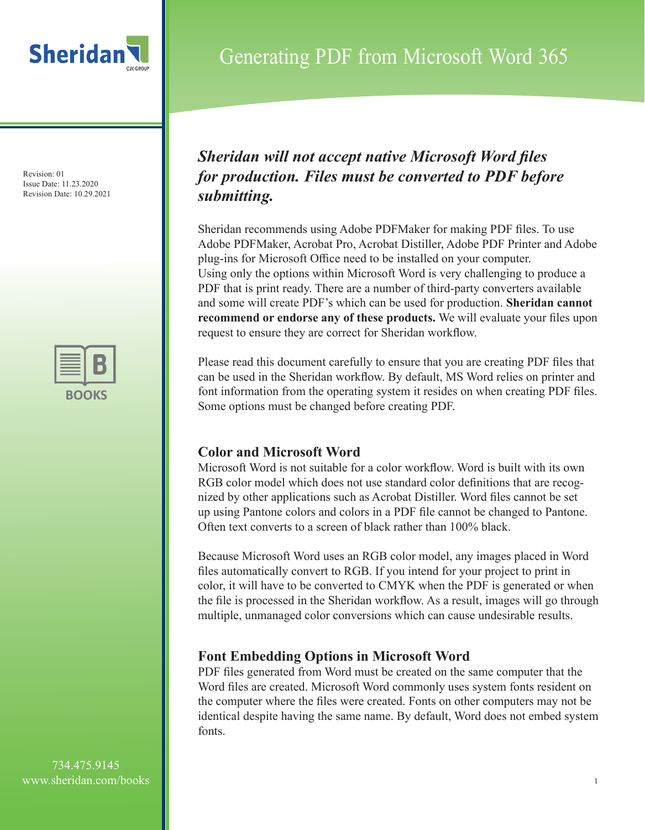



### Generating PDF from Microsoft Word 365

### *Sheridan will not accept native Microsoft Word files for production. Files must be converted to PDF before submitting.*

Sheridan recommends using Adobe PDFMaker for making PDF files. To use Adobe PDFMaker, Acrobat Pro, Acrobat Distiller, Adobe PDF Printer and Adobe plug-ins for Microsoft Office need to be installed on your computer. Using only the options within Microsoft Word is very challenging to produce a PDF that is print ready. There are a number of third-party converters available and some will create PDF's which can be used for production. **Sheridan cannot recommend or endorse any of these products.** We will evaluate your files upon request to ensure they are correct for Sheridan workflow.

Please read this document carefully to ensure that you are creating PDF files that can be used in the Sheridan workflow. By default, MS Word relies on printer and font information from the operating system it resides on when creating PDF files. Some options must be changed before creating PDF.

### **Color and Microsoft Word**

Microsoft Word is not suitable for a color workflow. Word is built with its own RGB color model which does not use standard color definitions that are recognized by other applications such as Acrobat Distiller. Word files cannot be set up using Pantone colors and colors in a PDF file cannot be changed to Pantone. Often text converts to a screen of black rather than 100% black.

Because Microsoft Word uses an RGB color model, any images placed in Word files automatically convert to RGB. If you intend for your project to print in color, it will have to be converted to CMYK when the PDF is generated or when the file is processed in the Sheridan workflow. As a result, images will go through multiple, unmanaged color conversions which can cause undesirable results.

### **Font Embedding Options in Microsoft Word**

PDF files generated from Word must be created on the same computer that the Word files are created. Microsoft Word commonly uses system fonts resident on the computer where the files were created. Fonts on other computers may not be identical despite having the same name. By default, Word does not embed system fonts.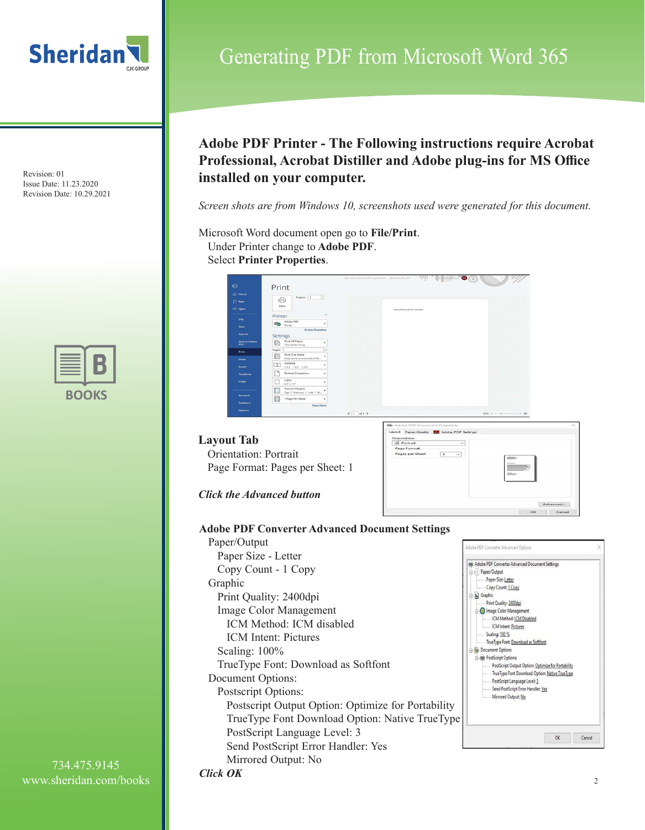



### **Adobe PDF Printer - The Following instructions require Acrobat Professional, Acrobat Distiller and Adobe plug-ins for MS Office installed on your computer.**

Generating PDF from Microsoft Word 365

*Screen shots are from Windows 10, screenshots used were generated for this document.*

Microsoft Word document open go to **File/Print**. Under Printer change to **Adobe PDF**. Select **Printer Properties**.



#### **Layout Tab** Orientation: Portrait Page Format: Pages per Sheet: 1



*Click the Advanced button*

*Click OK*

**Adobe PDF Converter Advanced Document Settings**

Paper/Output Paper Size - Letter Copy Count - 1 Copy Graphic Print Quality: 2400dpi **In** Graphic Image Color Management ICM Method: ICM disabled ICM Intent: Pictures Scaling: 100% TrueType Font: Download as Softfont Document Options: Postscript Options: Postscript Output Option: Optimize for Portability TrueType Font Download Option: Native TrueType PostScript Language Level: 3 Send PostScript Error Handler: Yes Mirrored Output: No

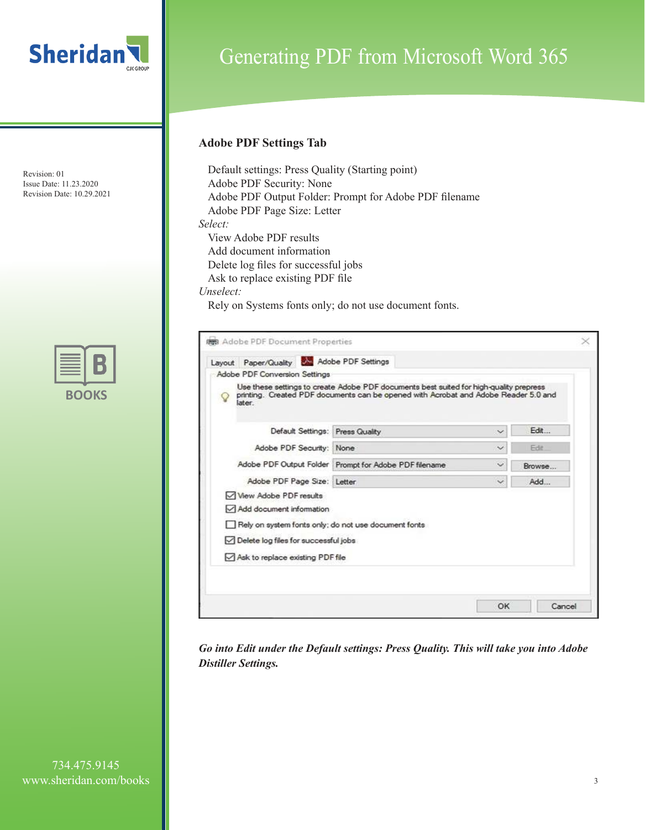

### Generating PDF from Microsoft Word 365

### **Adobe PDF Settings Tab**

Default settings: Press Quality (Starting point) Adobe PDF Security: None Adobe PDF Output Folder: Prompt for Adobe PDF filename Adobe PDF Page Size: Letter *Select:* View Adobe PDF results Add document information Delete log files for successful jobs Ask to replace existing PDF file *Unselect:*  Rely on Systems fonts only; do not use document fonts.

| Layout Paper/Quality & Adobe PDF Settings            |                                                                                                                                                                               |                          |        |
|------------------------------------------------------|-------------------------------------------------------------------------------------------------------------------------------------------------------------------------------|--------------------------|--------|
| Adobe PDF Conversion Settings                        |                                                                                                                                                                               |                          |        |
| later.                                               | Use these settings to create Adobe PDF documents best suited for high-quality prepress<br>printing. Created PDF documents can be opened with Acrobat and Adobe Reader 5.0 and |                          |        |
| Default Settings: Press Quality                      |                                                                                                                                                                               | $\checkmark$             | Edit   |
| Adobe PDF Security: None                             |                                                                                                                                                                               | $\checkmark$             | Fde:   |
|                                                      | Adobe PDF Output Folder Prompt for Adobe PDF filename                                                                                                                         | $\overline{\phantom{a}}$ | Browse |
| Adobe PDF Page Size: Letter                          |                                                                                                                                                                               | $\sim$                   | Add    |
| View Adobe PDF results                               |                                                                                                                                                                               |                          |        |
| Add document information                             |                                                                                                                                                                               |                          |        |
| Rely on system fonts only; do not use document fonts |                                                                                                                                                                               |                          |        |
| Delete log files for successful jobs                 |                                                                                                                                                                               |                          |        |
| Ask to replace existing PDF file                     |                                                                                                                                                                               |                          |        |
|                                                      |                                                                                                                                                                               |                          |        |

*Go into Edit under the Default settings: Press Quality. This will take you into Adobe Distiller Settings.*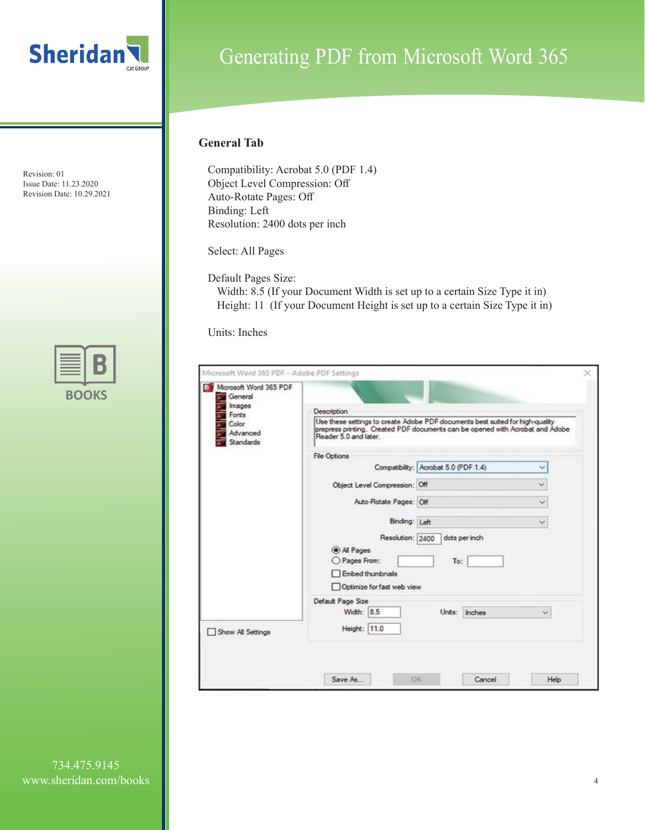



## Generating PDF from Microsoft Word 365

### **General Tab**

Compatibility: Acrobat 5.0 (PDF 1.4) Object Level Compression: Off Auto-Rotate Pages: Off Binding: Left Resolution: 2400 dots per inch

Select: All Pages

Default Pages Size:

Width: 8.5 (If your Document Width is set up to a certain Size Type it in) Height: 11 (If your Document Height is set up to a certain Size Type it in)

Units: Inches

| Reader 5.0 and later.                              |                                                                   |                                                                                                                                                                                                                                                                                                                                      |
|----------------------------------------------------|-------------------------------------------------------------------|--------------------------------------------------------------------------------------------------------------------------------------------------------------------------------------------------------------------------------------------------------------------------------------------------------------------------------------|
| File Options                                       |                                                                   |                                                                                                                                                                                                                                                                                                                                      |
|                                                    |                                                                   | Ÿ.                                                                                                                                                                                                                                                                                                                                   |
|                                                    |                                                                   | $\checkmark$                                                                                                                                                                                                                                                                                                                         |
|                                                    |                                                                   | $\sim$                                                                                                                                                                                                                                                                                                                               |
|                                                    |                                                                   | $\checkmark$                                                                                                                                                                                                                                                                                                                         |
| @ All Pages<br>O Pages From:<br>□ Embed thumbnails | dots per inch<br>To:                                              |                                                                                                                                                                                                                                                                                                                                      |
| Default Page Size                                  |                                                                   |                                                                                                                                                                                                                                                                                                                                      |
| Width: 8.5                                         | Units: Inches                                                     |                                                                                                                                                                                                                                                                                                                                      |
| Height: 11.0                                       |                                                                   |                                                                                                                                                                                                                                                                                                                                      |
|                                                    | Microsoft Word 365 PDF - Adobe PDF Settings<br><b>Description</b> | Use these settings to create Adobe PDF documents best suited for high-quality<br>prepress printing. Created PDF documents can be opened with Acrobat and Adobe<br>Compatibility: Acrobat 5.0 (PDF 1.4)<br>Object Level Compression: Off<br>Auto-Rotate Pages: Off<br>Binding: Left<br>Resolution: 2400<br>Optimize for fast web view |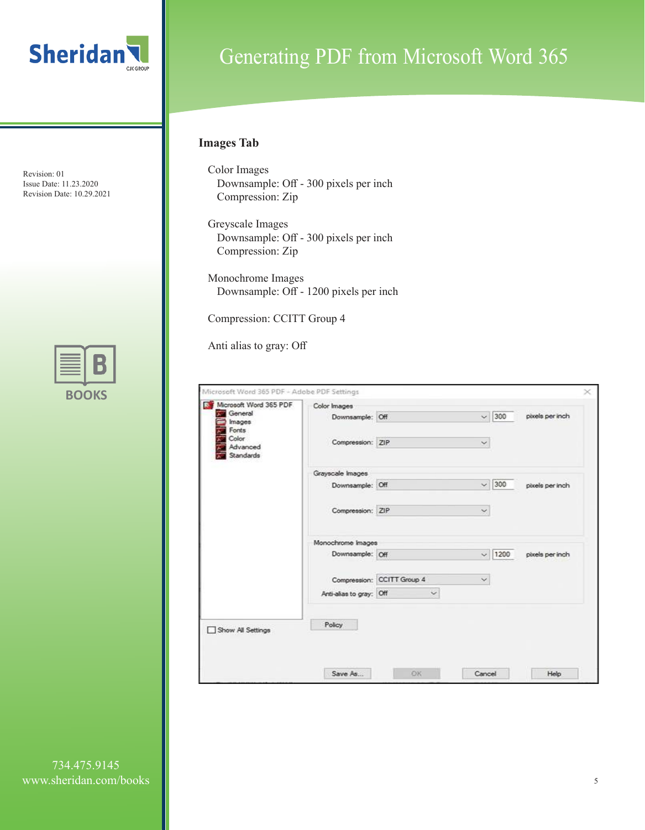



# Generating PDF from Microsoft Word 365

### **Images Tab**

- Color Images Downsample: Off - 300 pixels per inch Compression: Zip
- Greyscale Images Downsample: Off - 300 pixels per inch Compression: Zip
- Monochrome Images Downsample: Off - 1200 pixels per inch

Compression: CCITT Group 4

Anti alias to gray: Off

| Microsoft Word 365 PDF  | Color Images            |                            |                     |                 |
|-------------------------|-------------------------|----------------------------|---------------------|-----------------|
| General<br>T.<br>Images | Downsample: Off         |                            | 300<br>$\sim$       | pixels per inch |
| Fonts                   |                         |                            |                     |                 |
| Color:<br>Advanced      | Compression: ZIP        |                            | $\sim$              |                 |
| Standards               |                         |                            |                     |                 |
|                         | Grayscale Images        |                            |                     |                 |
|                         | Downsample: Off.        |                            | 300<br>$\checkmark$ | pixels per inch |
|                         |                         |                            |                     |                 |
|                         | Compression: ZIP        |                            | $\sim$              |                 |
|                         |                         |                            |                     |                 |
|                         | Monochrome Images       |                            |                     |                 |
|                         | Downsample: Off.        |                            | 1200<br>$\ddotmark$ | pixels per inch |
|                         |                         |                            |                     |                 |
|                         |                         | Compression: CCITT Group 4 |                     |                 |
|                         | Anti-alias to gray: Off | $\checkmark$               |                     |                 |
|                         |                         |                            |                     |                 |
|                         | Policy                  |                            |                     |                 |
| Show All Settings       |                         |                            |                     |                 |
|                         |                         |                            |                     |                 |
|                         |                         |                            |                     |                 |
|                         | Save As                 | OK                         | Cancel              | Help            |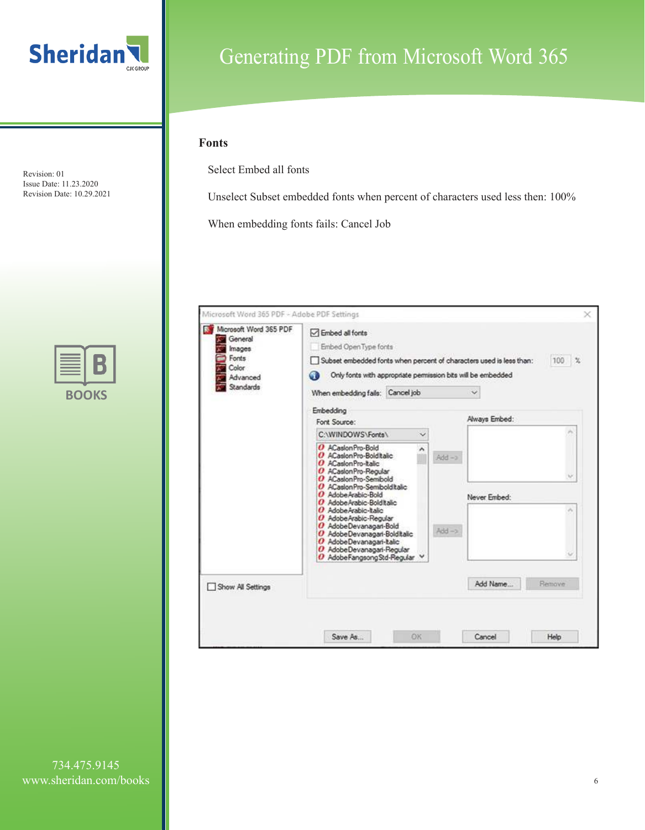



# Generating PDF from Microsoft Word 365

### **Fonts**

Select Embed all fonts

Unselect Subset embedded fonts when percent of characters used less then: 100%

When embedding fonts fails: Cancel Job

| Microsoft Word 365 PDF<br>General<br>Images<br>Fonts<br>Color:<br>Advanced<br>Standards | □ Embed all fonts<br>Embed Open Type fonts<br>Subset embedded fonts when percent of characters used is less than:<br>Only fonts with appropriate permission bits will be embedded<br>GB<br>When embedding fails: Cancel job |                   | 100 %<br>$\checkmark$ |
|-----------------------------------------------------------------------------------------|-----------------------------------------------------------------------------------------------------------------------------------------------------------------------------------------------------------------------------|-------------------|-----------------------|
|                                                                                         | Embedding<br>Font Source:                                                                                                                                                                                                   |                   | Always Embed:         |
|                                                                                         | C:\WINDOWS\Fonts\<br>×                                                                                                                                                                                                      |                   |                       |
|                                                                                         | O ACasionPro-Bold<br>O ACasionPro-Bolditalic<br>O ACasion Pro-Italic<br>O ACasionPro-Regular<br>O ACasionPro-Semibold<br>O ACasionPro-Semibolditalic<br>O Adobe Arabic-Bold<br>O AdobeArabic-BoldItalic                     | $Add - 2$         | Never Embed:          |
|                                                                                         | O AdobeArabic-Italic<br>O AdobeArabic-Regular<br>O AdobeDevanagari-Bold<br>O AdobeDevanagari-Bolditalic<br>O AdobeDevanagari-Italic<br>O AdobeDevanagari-Regular<br>O AdobeFangsongStd-Regular V                            | $Add \rightarrow$ |                       |
| Show All Settings                                                                       |                                                                                                                                                                                                                             |                   | Add Name<br>Remove    |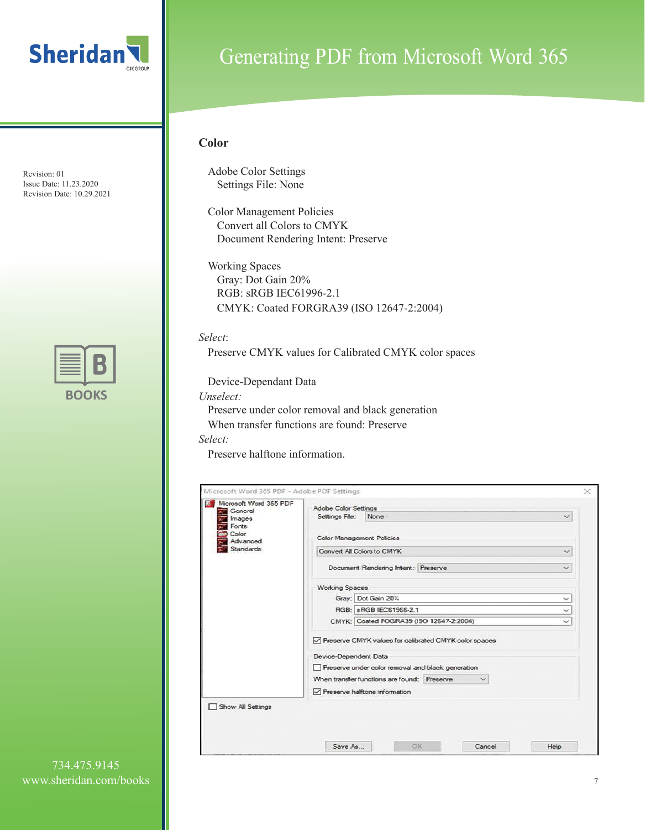



### Generating PDF from Microsoft Word 365

#### **Color**

Adobe Color Settings Settings File: None

Color Management Policies Convert all Colors to CMYK Document Rendering Intent: Preserve

Working Spaces Gray: Dot Gain 20% RGB: sRGB IEC61996-2.1 CMYK: Coated FORGRA39 (ISO 12647-2:2004)

*Select*:

Preserve CMYK values for Calibrated CMYK color spaces

Device-Dependant Data

*Unselect:*

Preserve under color removal and black generation

When transfer functions are found: Preserve

*Select:*

Preserve halftone information.

| Microsoft Word 365 PDF<br>General | Adobe Color Settings                                             |              |  |  |
|-----------------------------------|------------------------------------------------------------------|--------------|--|--|
| Images                            | Settings File:<br>None                                           | $\checkmark$ |  |  |
| Fonts<br>Color<br>Advanced        | Color Management Policies                                        |              |  |  |
| Standards                         | Convert All Colors to CMYK                                       | $\checkmark$ |  |  |
|                                   | Document Rendering Intent: Preserve                              | $\checkmark$ |  |  |
|                                   | Working Spaces                                                   |              |  |  |
|                                   | Gray: Dot Gain 20%                                               | ×            |  |  |
|                                   | RGB: sRGB IEC61966-2.1                                           |              |  |  |
|                                   | CMYK: Coated FOGRA39 (ISO 12647-2:2004)<br>$\tilde{\phantom{a}}$ |              |  |  |
|                                   | Preserve CMYK values for calibrated CMYK color spaces            |              |  |  |
|                                   | Device-Dependent Data                                            |              |  |  |
|                                   | Preserve under color removal and black generation                |              |  |  |
|                                   | When transfer functions are found: Preserve                      |              |  |  |
|                                   | Preserve halftone information                                    |              |  |  |
| Show All Settings                 |                                                                  |              |  |  |
|                                   |                                                                  |              |  |  |
|                                   |                                                                  |              |  |  |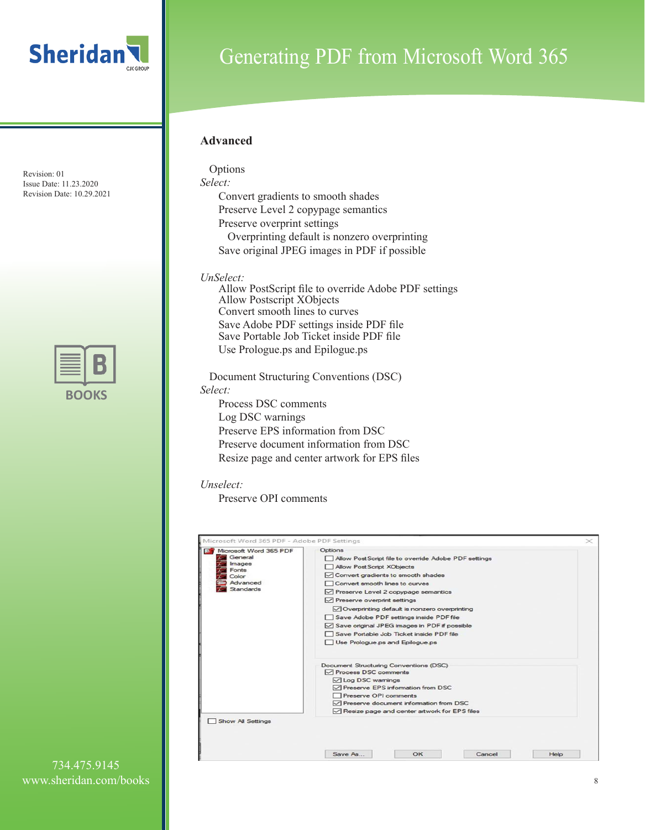

| ٠ | . . |
|---|-----|

## Generating PDF from Microsoft Word 365

### **Advanced**

Options *Select:* Convert gradients to smooth shades Preserve Level 2 copypage semantics Preserve overprint settings Overprinting default is nonzero overprinting Save original JPEG images in PDF if possible

*UnSelect:*

Allow PostScript file to override Adobe PDF settings Allow Postscript XObjects Convert smooth lines to curves Save Adobe PDF settings inside PDF file Save Portable Job Ticket inside PDF file Use Prologue.ps and Epilogue.ps

Document Structuring Conventions (DSC) *Select:* Process DSC comments Log DSC warnings

Preserve EPS information from DSC Preserve document information from DSC Resize page and center artwork for EPS files

#### *Unselect:*

Preserve OPI comments

| Microsoft Word 365 PDF | Options                                                          |  |  |  |  |
|------------------------|------------------------------------------------------------------|--|--|--|--|
| General                | Allow PostScript file to override Adobe PDF settings             |  |  |  |  |
| <i>Images</i><br>Fonts | Allow PostScript XObjects                                        |  |  |  |  |
| Color                  | ○ Convert gradients to smooth shades                             |  |  |  |  |
| Advanced               | Convert smooth lines to curves                                   |  |  |  |  |
| <b>Standards</b>       | ○ Preserve Level 2 copypage semantics                            |  |  |  |  |
|                        | Preserve overprint settings                                      |  |  |  |  |
|                        | ○ Overprinting default is nonzero overprinting                   |  |  |  |  |
|                        | Save Adobe PDF settings inside PDF file                          |  |  |  |  |
|                        | Save original JPEG images in PDF if possible                     |  |  |  |  |
|                        | Save Portable Job Ticket inside PDF file                         |  |  |  |  |
|                        | Use Prologue ps and Epilogue ps                                  |  |  |  |  |
|                        | Document Structuring Conventions (DSC)<br>□ Process DSC comments |  |  |  |  |
|                        | <b><math>□</math> Log DSC wamings</b>                            |  |  |  |  |
|                        | ○ Preserve EPS information from DSC                              |  |  |  |  |
|                        | Preserve OPI comments                                            |  |  |  |  |
|                        | ○ Preserve document information from DSC                         |  |  |  |  |
|                        | Resize page and center artwork for EPS files                     |  |  |  |  |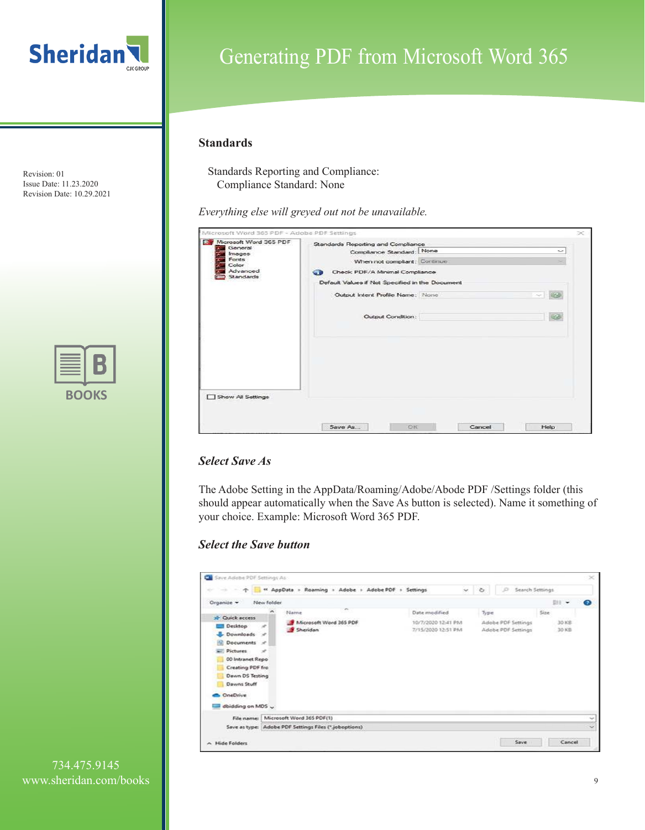

| ٠ | u. |
|---|----|

# Generating PDF from Microsoft Word 365

### **Standards**

Standards Reporting and Compliance: Compliance Standard: None

*Everything else will greyed out not be unavailable.*

| Microsoft Word 365 PDF - Adobe PDF Settings<br>Microsoft Word 365 PDF | Standards Reporting and Compliance              |        | $\scriptstyle\!\!\!\!\times$ |
|-----------------------------------------------------------------------|-------------------------------------------------|--------|------------------------------|
| General<br>Images                                                     | Compliance Standard: None                       |        | ÷                            |
| Fonts<br>Color.                                                       | When not compliant: Continue                    |        | ۰                            |
| Advanced<br>Standards                                                 | Check PDF/A Minimal Compliance<br>œ             |        |                              |
|                                                                       | Default Values if Not Specified in the Document |        |                              |
|                                                                       | Output Intent Profile Name: None                |        | ea<br>n,                     |
|                                                                       | Output Condition:                               |        |                              |
|                                                                       |                                                 |        |                              |
| Show All Settings                                                     |                                                 |        |                              |
|                                                                       | Save As<br>OK                                   | Cancel | Help                         |

### *Select Save As*

The Adobe Setting in the AppData/Roaming/Adobe/Abode PDF /Settings folder (this should appear automatically when the Save As button is selected). Name it something of your choice. Example: Microsoft Word 365 PDF.

### *Select the Save button*

|                                                                                                                                                                                                                                        |                           | <sup>44</sup> AppData > Roaming > Adobe > Adobe PDF > Settings |                                                           | $\mathcal{A}$ | $\mathbb{C}$ | $\overline{D}$<br>Search Settings        |      |                         |   |
|----------------------------------------------------------------------------------------------------------------------------------------------------------------------------------------------------------------------------------------|---------------------------|----------------------------------------------------------------|-----------------------------------------------------------|---------------|--------------|------------------------------------------|------|-------------------------|---|
| Organize -<br>New folder<br>or Quick access<br>Desktop<br>×<br>Downloads #<br><b>Documents</b> #<br>Pictures<br>- 10<br>00 Intranet Repo<br>Creating PDF fro<br>Dawn DS Testing<br>Dawns Stuff<br><b>OneDrive</b><br>dbidding on MDS v | Name<br>Sheridan          | $\sim$<br>Microsoft Word 365 PDF                               | Date modified<br>10/7/2020 12:41 PM<br>7/15/2020 12:51 PM |               | Type         | Adobe PDF Settings<br>Adobe PDF Settings | Size | Bit +<br>30 KB<br>30 KB | ◉ |
| File name:                                                                                                                                                                                                                             | Microsoft Word 365 PDF(1) |                                                                |                                                           |               |              |                                          |      |                         |   |
|                                                                                                                                                                                                                                        |                           | Save as type: Adobe PDF Settings Files (*.joboptions)          |                                                           |               |              |                                          |      |                         |   |